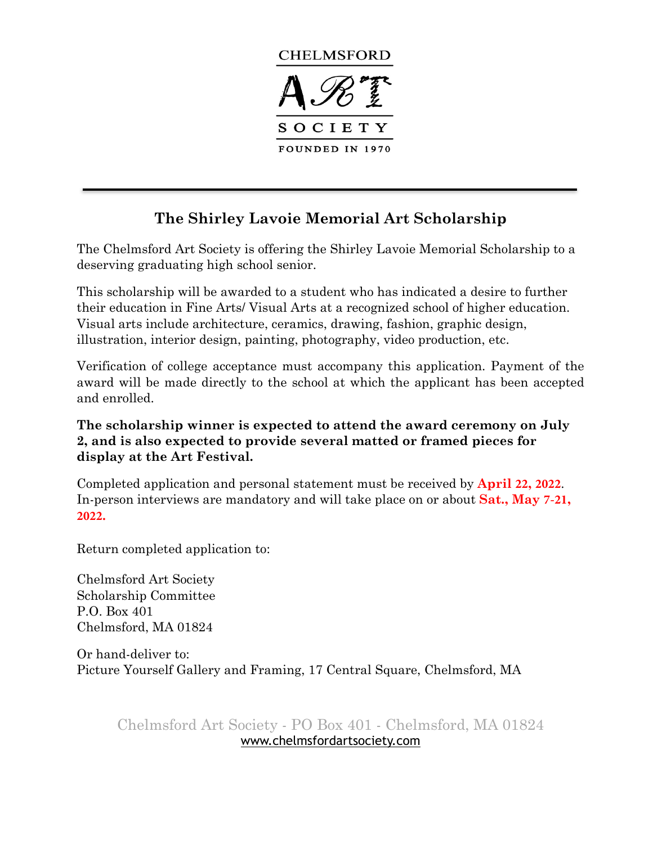

# **The Shirley Lavoie Memorial Art Scholarship**

The Chelmsford Art Society is offering the Shirley Lavoie Memorial Scholarship to a deserving graduating high school senior.

This scholarship will be awarded to a student who has indicated a desire to further their education in Fine Arts/ Visual Arts at a recognized school of higher education. Visual arts include architecture, ceramics, drawing, fashion, graphic design, illustration, interior design, painting, photography, video production, etc.

Verification of college acceptance must accompany this application. Payment of the award will be made directly to the school at which the applicant has been accepted and enrolled.

### **The scholarship winner is expected to attend the award ceremony on July 2, and is also expected to provide several matted or framed pieces for display at the Art Festival.**

Completed application and personal statement must be received by **April 22, 2022**. [In-person interviews are manda](http://www.chelmsfordartsociety.com/2021_CAS_ScholarshipApp.pdf)tory and will take place on or about **Sat., May 7-21, 2022.** 

Return completed application to:

Chelmsford Art Society Scholarship Committee P.O. Box 401 Chelmsford, MA 01824

Or hand-deliver to: Picture Yourself Gallery and Framing, 17 Central Square, Chelmsford, MA

Chelmsford Art Society - PO Box 401 - Chelmsford, MA 01824 [www.chelmsfordartsociety.com](http://www.chelmsfordartsociety.com)